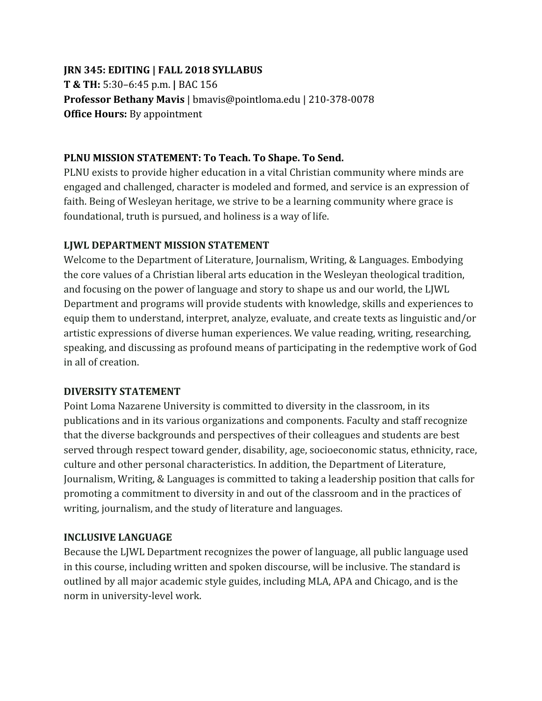# **JRN 345: EDITING | FALL 2018 SYLLABUS T & TH:** 5:30–6:45 p.m. **|** BAC 156 **Professor Bethany Mavis** | bmavis@pointloma.edu | 210-378-0078 **Office Hours:** By appointment

### **PLNU MISSION STATEMENT: To Teach. To Shape. To Send.**

PLNU exists to provide higher education in a vital Christian community where minds are engaged and challenged, character is modeled and formed, and service is an expression of faith. Being of Wesleyan heritage, we strive to be a learning community where grace is foundational, truth is pursued, and holiness is a way of life.

#### **LJWL DEPARTMENT MISSION STATEMENT**

Welcome to the Department of Literature, Journalism, Writing, & Languages. Embodying the core values of a Christian liberal arts education in the Wesleyan theological tradition, and focusing on the power of language and story to shape us and our world, the LJWL Department and programs will provide students with knowledge, skills and experiences to equip them to understand, interpret, analyze, evaluate, and create texts as linguistic and/or artistic expressions of diverse human experiences. We value reading, writing, researching, speaking, and discussing as profound means of participating in the redemptive work of God in all of creation.

# **DIVERSITY STATEMENT**

Point Loma Nazarene University is committed to diversity in the classroom, in its publications and in its various organizations and components. Faculty and staff recognize that the diverse backgrounds and perspectives of their colleagues and students are best served through respect toward gender, disability, age, socioeconomic status, ethnicity, race, culture and other personal characteristics. In addition, the Department of Literature, Journalism, Writing, & Languages is committed to taking a leadership position that calls for promoting a commitment to diversity in and out of the classroom and in the practices of writing, journalism, and the study of literature and languages.

# **INCLUSIVE LANGUAGE**

Because the LJWL Department recognizes the power of language, all public language used in this course, including written and spoken discourse, will be inclusive. The standard is outlined by all major academic style guides, including MLA, APA and Chicago, and is the norm in university-level work.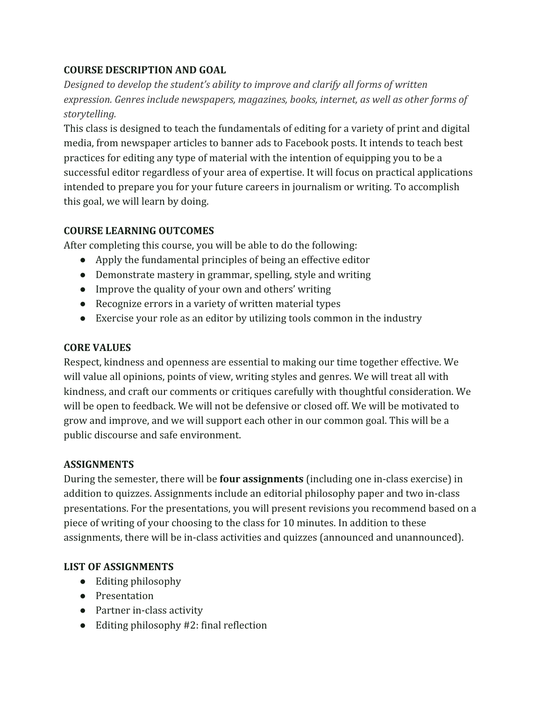# **COURSE DESCRIPTION AND GOAL**

*Designed to develop the student's ability to improve and clarify all forms of written expression. Genres include newspapers, magazines, books, internet, as well as other forms of storytelling.*

This class is designed to teach the fundamentals of editing for a variety of print and digital media, from newspaper articles to banner ads to Facebook posts. It intends to teach best practices for editing any type of material with the intention of equipping you to be a successful editor regardless of your area of expertise. It will focus on practical applications intended to prepare you for your future careers in journalism or writing. To accomplish this goal, we will learn by doing.

# **COURSE LEARNING OUTCOMES**

After completing this course, you will be able to do the following:

- Apply the fundamental principles of being an effective editor
- Demonstrate mastery in grammar, spelling, style and writing
- Improve the quality of your own and others' writing
- Recognize errors in a variety of written material types
- Exercise your role as an editor by utilizing tools common in the industry

# **CORE VALUES**

Respect, kindness and openness are essential to making our time together effective. We will value all opinions, points of view, writing styles and genres. We will treat all with kindness, and craft our comments or critiques carefully with thoughtful consideration. We will be open to feedback. We will not be defensive or closed off. We will be motivated to grow and improve, and we will support each other in our common goal. This will be a public discourse and safe environment.

# **ASSIGNMENTS**

During the semester, there will be **four assignments** (including one in-class exercise) in addition to quizzes. Assignments include an editorial philosophy paper and two in-class presentations. For the presentations, you will present revisions you recommend based on a piece of writing of your choosing to the class for 10 minutes. In addition to these assignments, there will be in-class activities and quizzes (announced and unannounced).

# **LIST OF ASSIGNMENTS**

- Editing philosophy
- Presentation
- Partner in-class activity
- $\bullet$  Editing philosophy #2: final reflection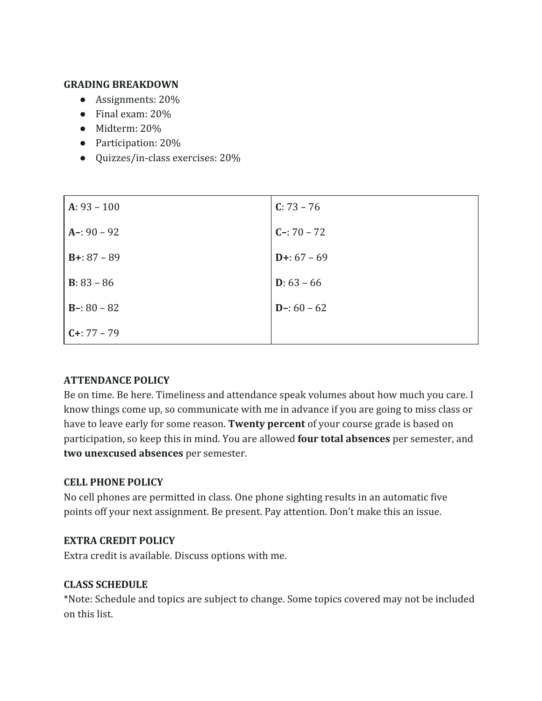#### **GRADING BREAKDOWN**

- Assignments: 20%
- Final exam: 20%
- Midterm: 20%
- Participation: 20%
- Quizzes/in-class exercises: 20%

| $A: 93 - 100$        | $C: 73 - 76$  |
|----------------------|---------------|
| $A-: 90 - 92$        | $C - 70 - 72$ |
| $B+: 87 - 89$        | $D+: 67 - 69$ |
| <b>B</b> : $83 - 86$ | $D: 63 - 66$  |
| $B - 80 - 82$        | $D-: 60 - 62$ |
| $C + 77 - 79$        |               |

# **ATTENDANCE POLICY**

Be on time. Be here. Timeliness and attendance speak volumes about how much you care. I know things come up, so communicate with me in advance if you are going to miss class or have to leave early for some reason. **Twenty percent** of your course grade is based on participation, so keep this in mind. You are allowed **four total absences** per semester, and **two unexcused absences** per semester.

# **CELL PHONE POLICY**

No cell phones are permitted in class. One phone sighting results in an automatic five points off your next assignment. Be present. Pay attention. Don't make this an issue.

#### **EXTRA CREDIT POLICY**

Extra credit is available. Discuss options with me.

#### **CLASS SCHEDULE**

\*Note: Schedule and topics are subject to change. Some topics covered may not be included on this list.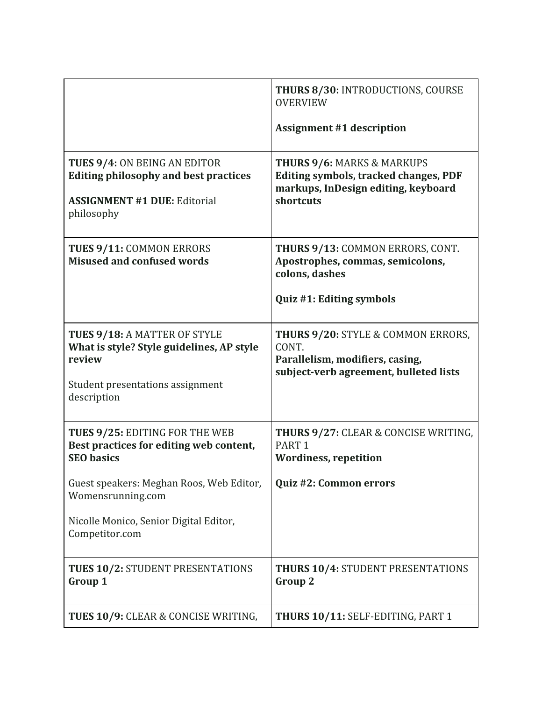|                                                                                                                                               | <b>THURS 8/30: INTRODUCTIONS, COURSE</b><br><b>OVERVIEW</b><br><b>Assignment #1 description</b>                                           |
|-----------------------------------------------------------------------------------------------------------------------------------------------|-------------------------------------------------------------------------------------------------------------------------------------------|
| <b>TUES 9/4: ON BEING AN EDITOR</b><br><b>Editing philosophy and best practices</b><br><b>ASSIGNMENT #1 DUE: Editorial</b><br>philosophy      | <b>THURS 9/6: MARKS &amp; MARKUPS</b><br><b>Editing symbols, tracked changes, PDF</b><br>markups, InDesign editing, keyboard<br>shortcuts |
| TUES 9/11: COMMON ERRORS<br><b>Misused and confused words</b>                                                                                 | THURS 9/13: COMMON ERRORS, CONT.<br>Apostrophes, commas, semicolons,<br>colons, dashes<br>Quiz #1: Editing symbols                        |
| <b>TUES 9/18: A MATTER OF STYLE</b><br>What is style? Style guidelines, AP style<br>review<br>Student presentations assignment<br>description | <b>THURS 9/20: STYLE &amp; COMMON ERRORS,</b><br>CONT.<br>Parallelism, modifiers, casing,<br>subject-verb agreement, bulleted lists       |
| TUES 9/25: EDITING FOR THE WEB<br>Best practices for editing web content,<br><b>SEO</b> basics                                                | THURS 9/27: CLEAR & CONCISE WRITING,<br>PART <sub>1</sub><br><b>Wordiness, repetition</b>                                                 |
| Guest speakers: Meghan Roos, Web Editor,<br>Womensrunning.com                                                                                 | Quiz #2: Common errors                                                                                                                    |
| Nicolle Monico, Senior Digital Editor,<br>Competitor.com                                                                                      |                                                                                                                                           |
| <b>TUES 10/2: STUDENT PRESENTATIONS</b><br>Group 1                                                                                            | <b>THURS 10/4: STUDENT PRESENTATIONS</b><br><b>Group 2</b>                                                                                |
| TUES 10/9: CLEAR & CONCISE WRITING,                                                                                                           | THURS 10/11: SELF-EDITING, PART 1                                                                                                         |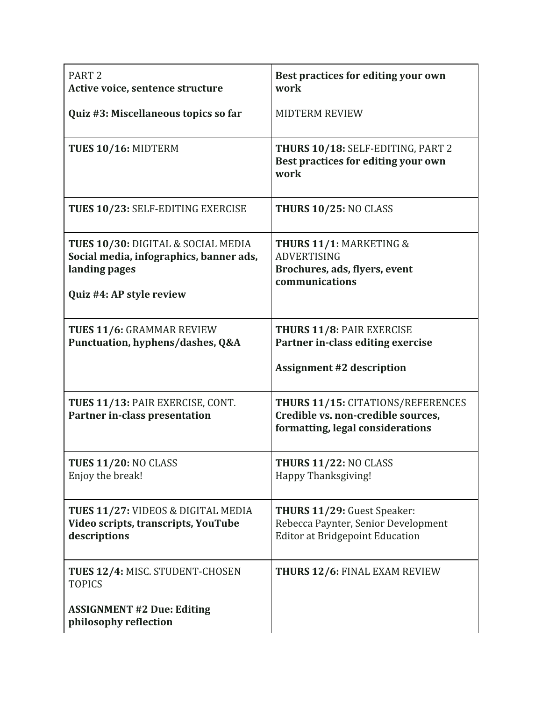| PART <sub>2</sub><br>Active voice, sentence structure                                                                      | Best practices for editing your own<br>work                                                                        |
|----------------------------------------------------------------------------------------------------------------------------|--------------------------------------------------------------------------------------------------------------------|
| Quiz #3: Miscellaneous topics so far                                                                                       | <b>MIDTERM REVIEW</b>                                                                                              |
| TUES 10/16: MIDTERM                                                                                                        | THURS 10/18: SELF-EDITING, PART 2<br>Best practices for editing your own<br>work                                   |
| TUES 10/23: SELF-EDITING EXERCISE                                                                                          | <b>THURS 10/25: NO CLASS</b>                                                                                       |
| TUES 10/30: DIGITAL & SOCIAL MEDIA<br>Social media, infographics, banner ads,<br>landing pages<br>Quiz #4: AP style review | <b>THURS 11/1: MARKETING &amp;</b><br><b>ADVERTISING</b><br>Brochures, ads, flyers, event<br>communications        |
| <b>TUES 11/6: GRAMMAR REVIEW</b><br>Punctuation, hyphens/dashes, Q&A                                                       | <b>THURS 11/8: PAIR EXERCISE</b><br>Partner in-class editing exercise<br><b>Assignment #2 description</b>          |
| TUES 11/13: PAIR EXERCISE, CONT.<br><b>Partner in-class presentation</b>                                                   | <b>THURS 11/15: CITATIONS/REFERENCES</b><br>Credible vs. non-credible sources,<br>formatting, legal considerations |
| <b>TUES 11/20: NO CLASS</b><br>Enjoy the break!                                                                            | <b>THURS 11/22: NO CLASS</b><br>Happy Thanksgiving!                                                                |
| TUES 11/27: VIDEOS & DIGITAL MEDIA<br>Video scripts, transcripts, YouTube<br>descriptions                                  | THURS 11/29: Guest Speaker:<br>Rebecca Paynter, Senior Development<br><b>Editor at Bridgepoint Education</b>       |
| TUES 12/4: MISC. STUDENT-CHOSEN<br><b>TOPICS</b><br><b>ASSIGNMENT #2 Due: Editing</b><br>philosophy reflection             | <b>THURS 12/6: FINAL EXAM REVIEW</b>                                                                               |